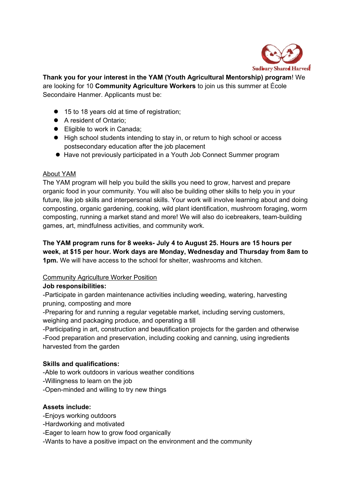

**Thank you for your interest in the YAM (Youth Agricultural Mentorship) program**! We are looking for 10 **Community Agriculture Workers** to join us this summer at École Secondaire Hanmer. Applicants must be:

- 15 to 18 years old at time of registration;
- A resident of Ontario;
- Eligible to work in Canada;
- High school students intending to stay in, or return to high school or access postsecondary education after the job placement
- Have not previously participated in a Youth Job Connect Summer program

#### About YAM

The YAM program will help you build the skills you need to grow, harvest and prepare organic food in your community. You will also be building other skills to help you in your future, like job skills and interpersonal skills. Your work will involve learning about and doing composting, organic gardening, cooking, wild plant identification, mushroom foraging, worm composting, running a market stand and more! We will also do icebreakers, team-building games, art, mindfulness activities, and community work.

**The YAM program runs for 8 weeks- July 4 to August 25. Hours are 15 hours per week, at \$15 per hour. Work days are Monday, Wednesday and Thursday from 8am to 1pm.** We will have access to the school for shelter, washrooms and kitchen.

## Community Agriculture Worker Position

## **Job responsibilities:**

-Participate in garden maintenance activities including weeding, watering, harvesting pruning, composting and more

-Preparing for and running a regular vegetable market, including serving customers, weighing and packaging produce, and operating a till

-Participating in art, construction and beautification projects for the garden and otherwise -Food preparation and preservation, including cooking and canning, using ingredients harvested from the garden

## **Skills and qualifications:**

-Able to work outdoors in various weather conditions

- -Willingness to learn on the job
- -Open-minded and willing to try new things

## **Assets include:**

- -Enjoys working outdoors
- -Hardworking and motivated
- -Eager to learn how to grow food organically
- -Wants to have a positive impact on the environment and the community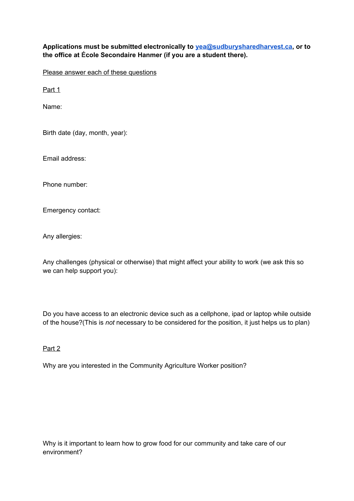# **Applications must be submitted electronically to yea@sudburysharedharvest.ca, or to the office at École Secondaire Hanmer (if you are a student there).**

Please answer each of these questions

Part 1

Name:

Birth date (day, month, year):

Email address:

Phone number:

Emergency contact:

Any allergies:

Any challenges (physical or otherwise) that might affect your ability to work (we ask this so we can help support you):

Do you have access to an electronic device such as a cellphone, ipad or laptop while outside of the house?(This is *not* necessary to be considered for the position, it just helps us to plan)

#### Part 2

Why are you interested in the Community Agriculture Worker position?

Why is it important to learn how to grow food for our community and take care of our environment?